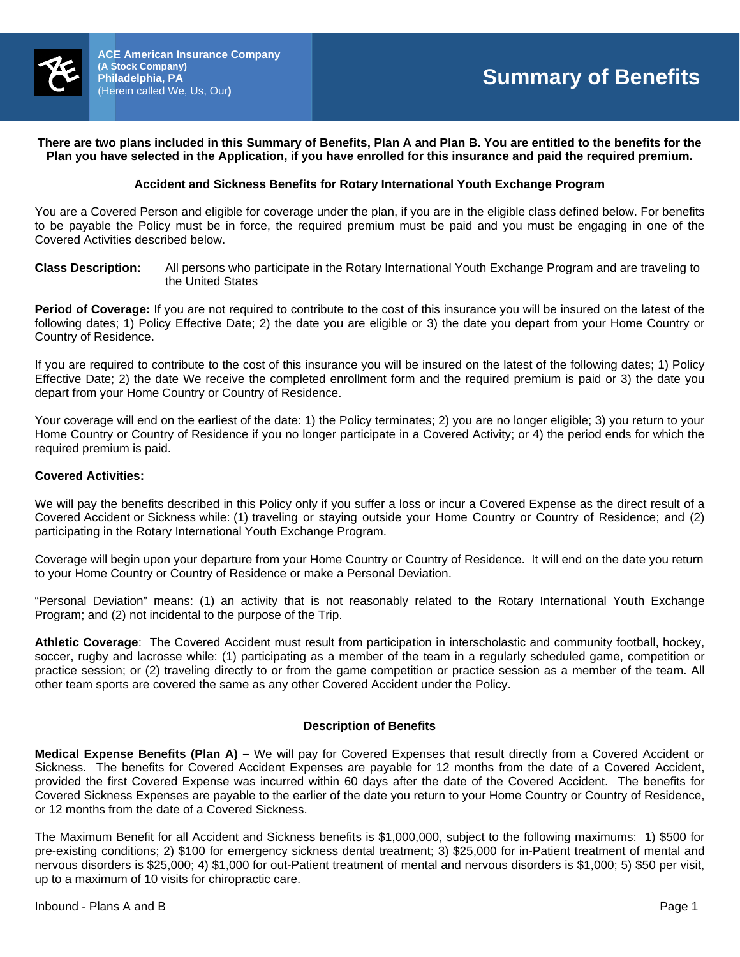

# **There are two plans included in this Summary of Benefits, Plan A and Plan B. You are entitled to the benefits for the Plan you have selected in the Application, if you have enrolled for this insurance and paid the required premium.**

# **Accident and Sickness Benefits for Rotary International Youth Exchange Program**

You are a Covered Person and eligible for coverage under the plan, if you are in the eligible class defined below. For benefits to be payable the Policy must be in force, the required premium must be paid and you must be engaging in one of the Covered Activities described below.

#### **Class Description:** All persons who participate in the Rotary International Youth Exchange Program and are traveling to the United States

**Period of Coverage:** If you are not required to contribute to the cost of this insurance you will be insured on the latest of the following dates; 1) Policy Effective Date; 2) the date you are eligible or 3) the date you depart from your Home Country or Country of Residence.

If you are required to contribute to the cost of this insurance you will be insured on the latest of the following dates; 1) Policy Effective Date; 2) the date We receive the completed enrollment form and the required premium is paid or 3) the date you depart from your Home Country or Country of Residence.

Your coverage will end on the earliest of the date: 1) the Policy terminates; 2) you are no longer eligible; 3) you return to your Home Country or Country of Residence if you no longer participate in a Covered Activity; or 4) the period ends for which the required premium is paid.

# **Covered Activities:**

We will pay the benefits described in this Policy only if you suffer a loss or incur a Covered Expense as the direct result of a Covered Accident or Sickness while: (1) traveling or staying outside your Home Country or Country of Residence; and (2) participating in the Rotary International Youth Exchange Program.

Coverage will begin upon your departure from your Home Country or Country of Residence. It will end on the date you return to your Home Country or Country of Residence or make a Personal Deviation.

"Personal Deviation" means: (1) an activity that is not reasonably related to the Rotary International Youth Exchange Program; and (2) not incidental to the purpose of the Trip.

**Athletic Coverage**: The Covered Accident must result from participation in interscholastic and community football, hockey, soccer, rugby and lacrosse while: (1) participating as a member of the team in a regularly scheduled game, competition or practice session; or (2) traveling directly to or from the game competition or practice session as a member of the team. All other team sports are covered the same as any other Covered Accident under the Policy.

#### **Description of Benefits**

**Medical Expense Benefits (Plan A) –** We will pay for Covered Expenses that result directly from a Covered Accident or Sickness. The benefits for Covered Accident Expenses are payable for 12 months from the date of a Covered Accident, provided the first Covered Expense was incurred within 60 days after the date of the Covered Accident. The benefits for Covered Sickness Expenses are payable to the earlier of the date you return to your Home Country or Country of Residence, or 12 months from the date of a Covered Sickness.

The Maximum Benefit for all Accident and Sickness benefits is \$1,000,000, subject to the following maximums: 1) \$500 for pre-existing conditions; 2) \$100 for emergency sickness dental treatment; 3) \$25,000 for in-Patient treatment of mental and nervous disorders is \$25,000; 4) \$1,000 for out-Patient treatment of mental and nervous disorders is \$1,000; 5) \$50 per visit, up to a maximum of 10 visits for chiropractic care.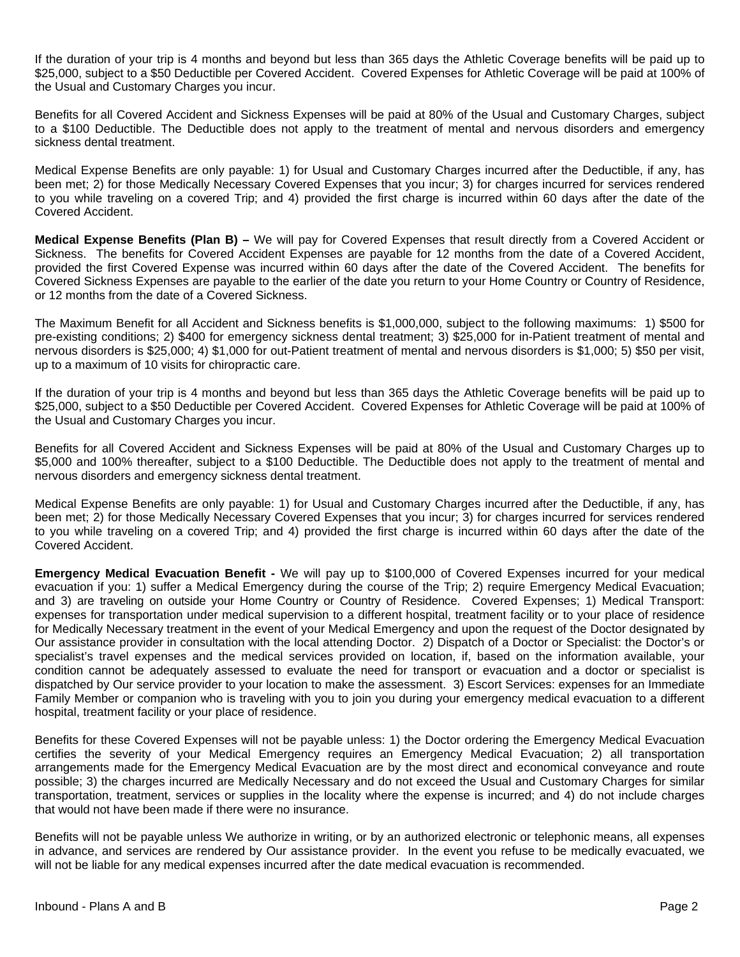If the duration of your trip is 4 months and beyond but less than 365 days the Athletic Coverage benefits will be paid up to \$25,000, subject to a \$50 Deductible per Covered Accident. Covered Expenses for Athletic Coverage will be paid at 100% of the Usual and Customary Charges you incur.

Benefits for all Covered Accident and Sickness Expenses will be paid at 80% of the Usual and Customary Charges, subject to a \$100 Deductible. The Deductible does not apply to the treatment of mental and nervous disorders and emergency sickness dental treatment.

Medical Expense Benefits are only payable: 1) for Usual and Customary Charges incurred after the Deductible, if any, has been met; 2) for those Medically Necessary Covered Expenses that you incur; 3) for charges incurred for services rendered to you while traveling on a covered Trip; and 4) provided the first charge is incurred within 60 days after the date of the Covered Accident.

**Medical Expense Benefits (Plan B) –** We will pay for Covered Expenses that result directly from a Covered Accident or Sickness. The benefits for Covered Accident Expenses are payable for 12 months from the date of a Covered Accident, provided the first Covered Expense was incurred within 60 days after the date of the Covered Accident. The benefits for Covered Sickness Expenses are payable to the earlier of the date you return to your Home Country or Country of Residence, or 12 months from the date of a Covered Sickness.

The Maximum Benefit for all Accident and Sickness benefits is \$1,000,000, subject to the following maximums: 1) \$500 for pre-existing conditions; 2) \$400 for emergency sickness dental treatment; 3) \$25,000 for in-Patient treatment of mental and nervous disorders is \$25,000; 4) \$1,000 for out-Patient treatment of mental and nervous disorders is \$1,000; 5) \$50 per visit, up to a maximum of 10 visits for chiropractic care.

If the duration of your trip is 4 months and beyond but less than 365 days the Athletic Coverage benefits will be paid up to \$25,000, subject to a \$50 Deductible per Covered Accident. Covered Expenses for Athletic Coverage will be paid at 100% of the Usual and Customary Charges you incur.

Benefits for all Covered Accident and Sickness Expenses will be paid at 80% of the Usual and Customary Charges up to \$5,000 and 100% thereafter, subject to a \$100 Deductible. The Deductible does not apply to the treatment of mental and nervous disorders and emergency sickness dental treatment.

Medical Expense Benefits are only payable: 1) for Usual and Customary Charges incurred after the Deductible, if any, has been met; 2) for those Medically Necessary Covered Expenses that you incur; 3) for charges incurred for services rendered to you while traveling on a covered Trip; and 4) provided the first charge is incurred within 60 days after the date of the Covered Accident.

**Emergency Medical Evacuation Benefit -** We will pay up to \$100,000 of Covered Expenses incurred for your medical evacuation if you: 1) suffer a Medical Emergency during the course of the Trip; 2) require Emergency Medical Evacuation; and 3) are traveling on outside your Home Country or Country of Residence. Covered Expenses; 1) Medical Transport: expenses for transportation under medical supervision to a different hospital, treatment facility or to your place of residence for Medically Necessary treatment in the event of your Medical Emergency and upon the request of the Doctor designated by Our assistance provider in consultation with the local attending Doctor. 2) Dispatch of a Doctor or Specialist: the Doctor's or specialist's travel expenses and the medical services provided on location, if, based on the information available, your condition cannot be adequately assessed to evaluate the need for transport or evacuation and a doctor or specialist is dispatched by Our service provider to your location to make the assessment. 3) Escort Services: expenses for an Immediate Family Member or companion who is traveling with you to join you during your emergency medical evacuation to a different hospital, treatment facility or your place of residence.

Benefits for these Covered Expenses will not be payable unless: 1) the Doctor ordering the Emergency Medical Evacuation certifies the severity of your Medical Emergency requires an Emergency Medical Evacuation; 2) all transportation arrangements made for the Emergency Medical Evacuation are by the most direct and economical conveyance and route possible; 3) the charges incurred are Medically Necessary and do not exceed the Usual and Customary Charges for similar transportation, treatment, services or supplies in the locality where the expense is incurred; and 4) do not include charges that would not have been made if there were no insurance.

Benefits will not be payable unless We authorize in writing, or by an authorized electronic or telephonic means, all expenses in advance, and services are rendered by Our assistance provider. In the event you refuse to be medically evacuated, we will not be liable for any medical expenses incurred after the date medical evacuation is recommended.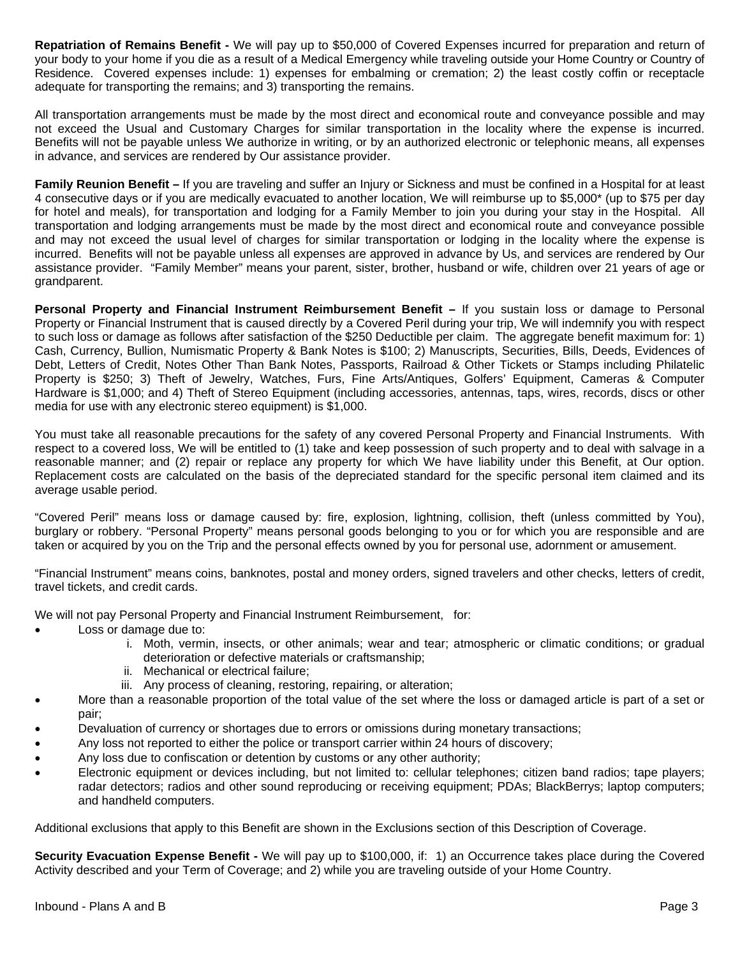**Repatriation of Remains Benefit -** We will pay up to \$50,000 of Covered Expenses incurred for preparation and return of your body to your home if you die as a result of a Medical Emergency while traveling outside your Home Country or Country of Residence. Covered expenses include: 1) expenses for embalming or cremation; 2) the least costly coffin or receptacle adequate for transporting the remains; and 3) transporting the remains.

All transportation arrangements must be made by the most direct and economical route and conveyance possible and may not exceed the Usual and Customary Charges for similar transportation in the locality where the expense is incurred. Benefits will not be payable unless We authorize in writing, or by an authorized electronic or telephonic means, all expenses in advance, and services are rendered by Our assistance provider.

**Family Reunion Benefit –** If you are traveling and suffer an Injury or Sickness and must be confined in a Hospital for at least 4 consecutive days or if you are medically evacuated to another location, We will reimburse up to \$5,000\* (up to \$75 per day for hotel and meals), for transportation and lodging for a Family Member to join you during your stay in the Hospital. All transportation and lodging arrangements must be made by the most direct and economical route and conveyance possible and may not exceed the usual level of charges for similar transportation or lodging in the locality where the expense is incurred. Benefits will not be payable unless all expenses are approved in advance by Us, and services are rendered by Our assistance provider. "Family Member" means your parent, sister, brother, husband or wife, children over 21 years of age or grandparent.

Personal Property and Financial Instrument Reimbursement Benefit - If you sustain loss or damage to Personal Property or Financial Instrument that is caused directly by a Covered Peril during your trip, We will indemnify you with respect to such loss or damage as follows after satisfaction of the \$250 Deductible per claim. The aggregate benefit maximum for: 1) Cash, Currency, Bullion, Numismatic Property & Bank Notes is \$100; 2) Manuscripts, Securities, Bills, Deeds, Evidences of Debt, Letters of Credit, Notes Other Than Bank Notes, Passports, Railroad & Other Tickets or Stamps including Philatelic Property is \$250; 3) Theft of Jewelry, Watches, Furs, Fine Arts/Antiques, Golfers' Equipment, Cameras & Computer Hardware is \$1,000; and 4) Theft of Stereo Equipment (including accessories, antennas, taps, wires, records, discs or other media for use with any electronic stereo equipment) is \$1,000.

You must take all reasonable precautions for the safety of any covered Personal Property and Financial Instruments. With respect to a covered loss, We will be entitled to (1) take and keep possession of such property and to deal with salvage in a reasonable manner; and (2) repair or replace any property for which We have liability under this Benefit, at Our option. Replacement costs are calculated on the basis of the depreciated standard for the specific personal item claimed and its average usable period.

"Covered Peril" means loss or damage caused by: fire, explosion, lightning, collision, theft (unless committed by You), burglary or robbery. "Personal Property" means personal goods belonging to you or for which you are responsible and are taken or acquired by you on the Trip and the personal effects owned by you for personal use, adornment or amusement.

"Financial Instrument" means coins, banknotes, postal and money orders, signed travelers and other checks, letters of credit, travel tickets, and credit cards.

We will not pay Personal Property and Financial Instrument Reimbursement, for:

- Loss or damage due to:
	- i. Moth, vermin, insects, or other animals; wear and tear; atmospheric or climatic conditions; or gradual deterioration or defective materials or craftsmanship;
	- ii. Mechanical or electrical failure;
	- iii. Any process of cleaning, restoring, repairing, or alteration;
- More than a reasonable proportion of the total value of the set where the loss or damaged article is part of a set or pair;
- Devaluation of currency or shortages due to errors or omissions during monetary transactions;
- Any loss not reported to either the police or transport carrier within 24 hours of discovery;
- Any loss due to confiscation or detention by customs or any other authority;
- Electronic equipment or devices including, but not limited to: cellular telephones; citizen band radios; tape players; radar detectors; radios and other sound reproducing or receiving equipment; PDAs; BlackBerrys; laptop computers; and handheld computers.

Additional exclusions that apply to this Benefit are shown in the Exclusions section of this Description of Coverage.

**Security Evacuation Expense Benefit -** We will pay up to \$100,000, if: 1) an Occurrence takes place during the Covered Activity described and your Term of Coverage; and 2) while you are traveling outside of your Home Country.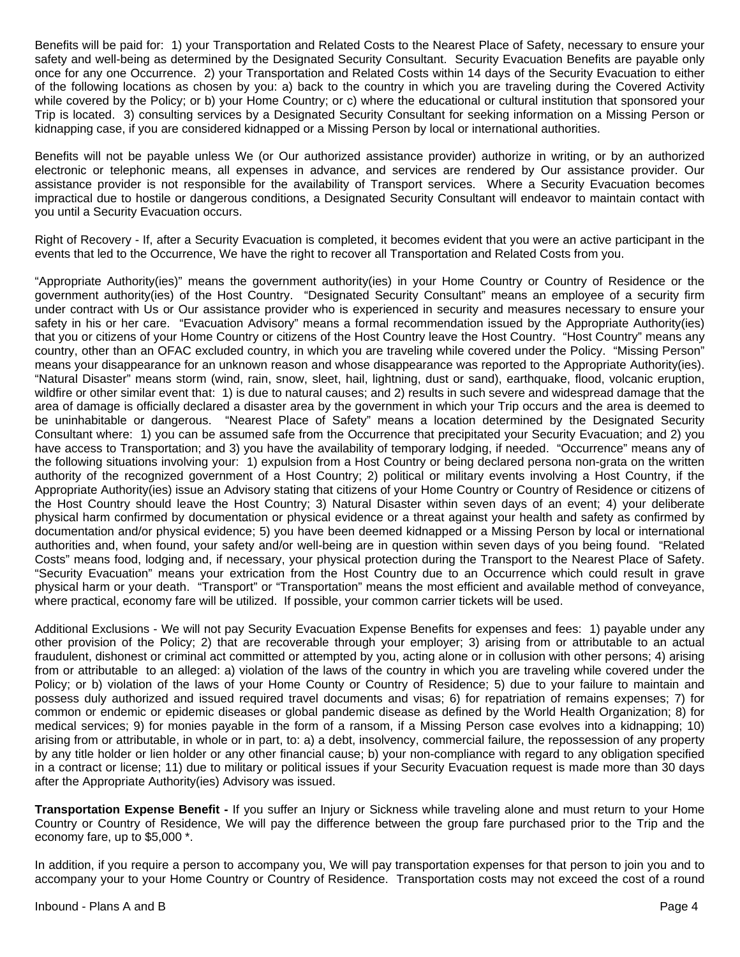Benefits will be paid for: 1) your Transportation and Related Costs to the Nearest Place of Safety, necessary to ensure your safety and well-being as determined by the Designated Security Consultant. Security Evacuation Benefits are payable only once for any one Occurrence. 2) your Transportation and Related Costs within 14 days of the Security Evacuation to either of the following locations as chosen by you: a) back to the country in which you are traveling during the Covered Activity while covered by the Policy; or b) your Home Country; or c) where the educational or cultural institution that sponsored your Trip is located. 3) consulting services by a Designated Security Consultant for seeking information on a Missing Person or kidnapping case, if you are considered kidnapped or a Missing Person by local or international authorities.

Benefits will not be payable unless We (or Our authorized assistance provider) authorize in writing, or by an authorized electronic or telephonic means, all expenses in advance, and services are rendered by Our assistance provider. Our assistance provider is not responsible for the availability of Transport services. Where a Security Evacuation becomes impractical due to hostile or dangerous conditions, a Designated Security Consultant will endeavor to maintain contact with you until a Security Evacuation occurs.

Right of Recovery - If, after a Security Evacuation is completed, it becomes evident that you were an active participant in the events that led to the Occurrence, We have the right to recover all Transportation and Related Costs from you.

"Appropriate Authority(ies)" means the government authority(ies) in your Home Country or Country of Residence or the government authority(ies) of the Host Country. "Designated Security Consultant" means an employee of a security firm under contract with Us or Our assistance provider who is experienced in security and measures necessary to ensure your safety in his or her care. "Evacuation Advisory" means a formal recommendation issued by the Appropriate Authority(ies) that you or citizens of your Home Country or citizens of the Host Country leave the Host Country. "Host Country" means any country, other than an OFAC excluded country, in which you are traveling while covered under the Policy. "Missing Person" means your disappearance for an unknown reason and whose disappearance was reported to the Appropriate Authority(ies). "Natural Disaster" means storm (wind, rain, snow, sleet, hail, lightning, dust or sand), earthquake, flood, volcanic eruption, wildfire or other similar event that: 1) is due to natural causes; and 2) results in such severe and widespread damage that the area of damage is officially declared a disaster area by the government in which your Trip occurs and the area is deemed to be uninhabitable or dangerous. "Nearest Place of Safety" means a location determined by the Designated Security Consultant where: 1) you can be assumed safe from the Occurrence that precipitated your Security Evacuation; and 2) you have access to Transportation; and 3) you have the availability of temporary lodging, if needed. "Occurrence" means any of the following situations involving your: 1) expulsion from a Host Country or being declared persona non-grata on the written authority of the recognized government of a Host Country; 2) political or military events involving a Host Country, if the Appropriate Authority(ies) issue an Advisory stating that citizens of your Home Country or Country of Residence or citizens of the Host Country should leave the Host Country; 3) Natural Disaster within seven days of an event; 4) your deliberate physical harm confirmed by documentation or physical evidence or a threat against your health and safety as confirmed by documentation and/or physical evidence; 5) you have been deemed kidnapped or a Missing Person by local or international authorities and, when found, your safety and/or well-being are in question within seven days of you being found. "Related Costs" means food, lodging and, if necessary, your physical protection during the Transport to the Nearest Place of Safety. "Security Evacuation" means your extrication from the Host Country due to an Occurrence which could result in grave physical harm or your death. "Transport" or "Transportation" means the most efficient and available method of conveyance, where practical, economy fare will be utilized. If possible, your common carrier tickets will be used.

Additional Exclusions - We will not pay Security Evacuation Expense Benefits for expenses and fees: 1) payable under any other provision of the Policy; 2) that are recoverable through your employer; 3) arising from or attributable to an actual fraudulent, dishonest or criminal act committed or attempted by you, acting alone or in collusion with other persons; 4) arising from or attributable to an alleged: a) violation of the laws of the country in which you are traveling while covered under the Policy; or b) violation of the laws of your Home County or Country of Residence; 5) due to your failure to maintain and possess duly authorized and issued required travel documents and visas; 6) for repatriation of remains expenses; 7) for common or endemic or epidemic diseases or global pandemic disease as defined by the World Health Organization; 8) for medical services; 9) for monies payable in the form of a ransom, if a Missing Person case evolves into a kidnapping; 10) arising from or attributable, in whole or in part, to: a) a debt, insolvency, commercial failure, the repossession of any property by any title holder or lien holder or any other financial cause; b) your non-compliance with regard to any obligation specified in a contract or license; 11) due to military or political issues if your Security Evacuation request is made more than 30 days after the Appropriate Authority(ies) Advisory was issued.

**Transportation Expense Benefit -** If you suffer an Injury or Sickness while traveling alone and must return to your Home Country or Country of Residence, We will pay the difference between the group fare purchased prior to the Trip and the economy fare, up to \$5,000 \*.

In addition, if you require a person to accompany you, We will pay transportation expenses for that person to join you and to accompany your to your Home Country or Country of Residence. Transportation costs may not exceed the cost of a round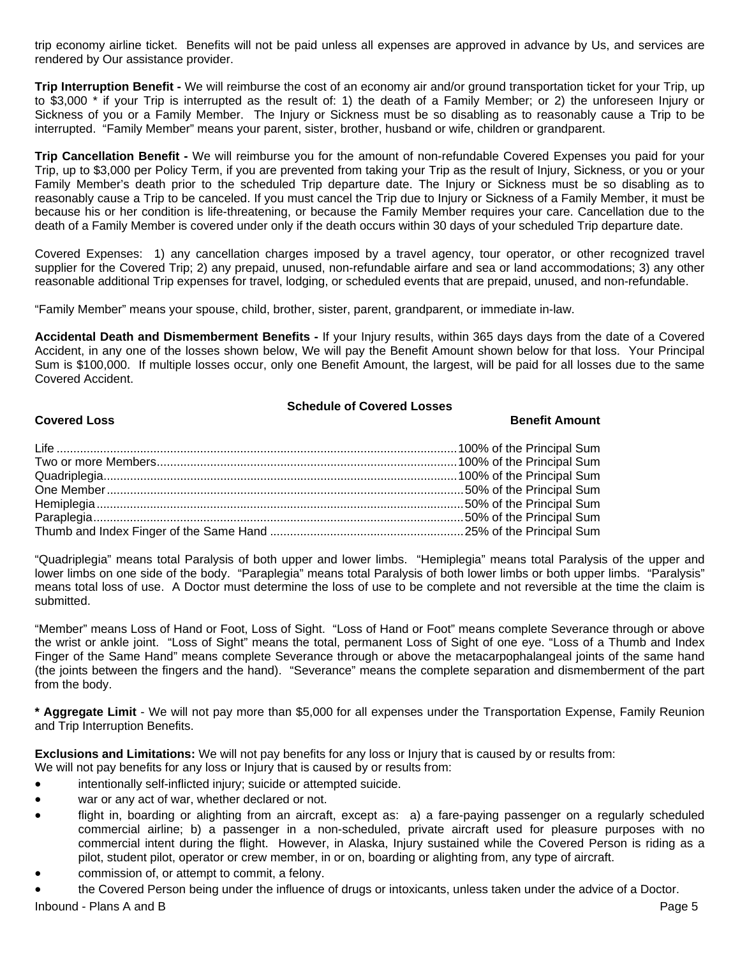trip economy airline ticket. Benefits will not be paid unless all expenses are approved in advance by Us, and services are rendered by Our assistance provider.

**Trip Interruption Benefit -** We will reimburse the cost of an economy air and/or ground transportation ticket for your Trip, up to \$3,000 \* if your Trip is interrupted as the result of: 1) the death of a Family Member; or 2) the unforeseen Injury or Sickness of you or a Family Member. The Injury or Sickness must be so disabling as to reasonably cause a Trip to be interrupted. "Family Member" means your parent, sister, brother, husband or wife, children or grandparent.

**Trip Cancellation Benefit -** We will reimburse you for the amount of non-refundable Covered Expenses you paid for your Trip, up to \$3,000 per Policy Term, if you are prevented from taking your Trip as the result of Injury, Sickness, or you or your Family Member's death prior to the scheduled Trip departure date. The Injury or Sickness must be so disabling as to reasonably cause a Trip to be canceled. If you must cancel the Trip due to Injury or Sickness of a Family Member, it must be because his or her condition is life-threatening, or because the Family Member requires your care. Cancellation due to the death of a Family Member is covered under only if the death occurs within 30 days of your scheduled Trip departure date.

Covered Expenses: 1) any cancellation charges imposed by a travel agency, tour operator, or other recognized travel supplier for the Covered Trip; 2) any prepaid, unused, non-refundable airfare and sea or land accommodations; 3) any other reasonable additional Trip expenses for travel, lodging, or scheduled events that are prepaid, unused, and non-refundable.

"Family Member" means your spouse, child, brother, sister, parent, grandparent, or immediate in-law.

**Accidental Death and Dismemberment Benefits -** If your Injury results, within 365 days days from the date of a Covered Accident, in any one of the losses shown below, We will pay the Benefit Amount shown below for that loss. Your Principal Sum is \$100,000. If multiple losses occur, only one Benefit Amount, the largest, will be paid for all losses due to the same Covered Accident.

# **Schedule of Covered Losses**

# **Covered Loss Benefit Amount 1999**

"Quadriplegia" means total Paralysis of both upper and lower limbs. "Hemiplegia" means total Paralysis of the upper and lower limbs on one side of the body. "Paraplegia" means total Paralysis of both lower limbs or both upper limbs. "Paralysis" means total loss of use. A Doctor must determine the loss of use to be complete and not reversible at the time the claim is submitted.

"Member" means Loss of Hand or Foot, Loss of Sight. "Loss of Hand or Foot" means complete Severance through or above the wrist or ankle joint. "Loss of Sight" means the total, permanent Loss of Sight of one eye. "Loss of a Thumb and Index Finger of the Same Hand" means complete Severance through or above the metacarpophalangeal joints of the same hand (the joints between the fingers and the hand). "Severance" means the complete separation and dismemberment of the part from the body.

**\* Aggregate Limit** - We will not pay more than \$5,000 for all expenses under the Transportation Expense, Family Reunion and Trip Interruption Benefits.

**Exclusions and Limitations:** We will not pay benefits for any loss or Injury that is caused by or results from:

- We will not pay benefits for any loss or Injury that is caused by or results from:
- intentionally self-inflicted injury; suicide or attempted suicide.
- war or any act of war, whether declared or not.
- flight in, boarding or alighting from an aircraft, except as: a) a fare-paying passenger on a regularly scheduled commercial airline; b) a passenger in a non-scheduled, private aircraft used for pleasure purposes with no commercial intent during the flight. However, in Alaska, Injury sustained while the Covered Person is riding as a pilot, student pilot, operator or crew member, in or on, boarding or alighting from, any type of aircraft.
- commission of, or attempt to commit, a felony.
- the Covered Person being under the influence of drugs or intoxicants, unless taken under the advice of a Doctor.

Inbound - Plans A and B Page 5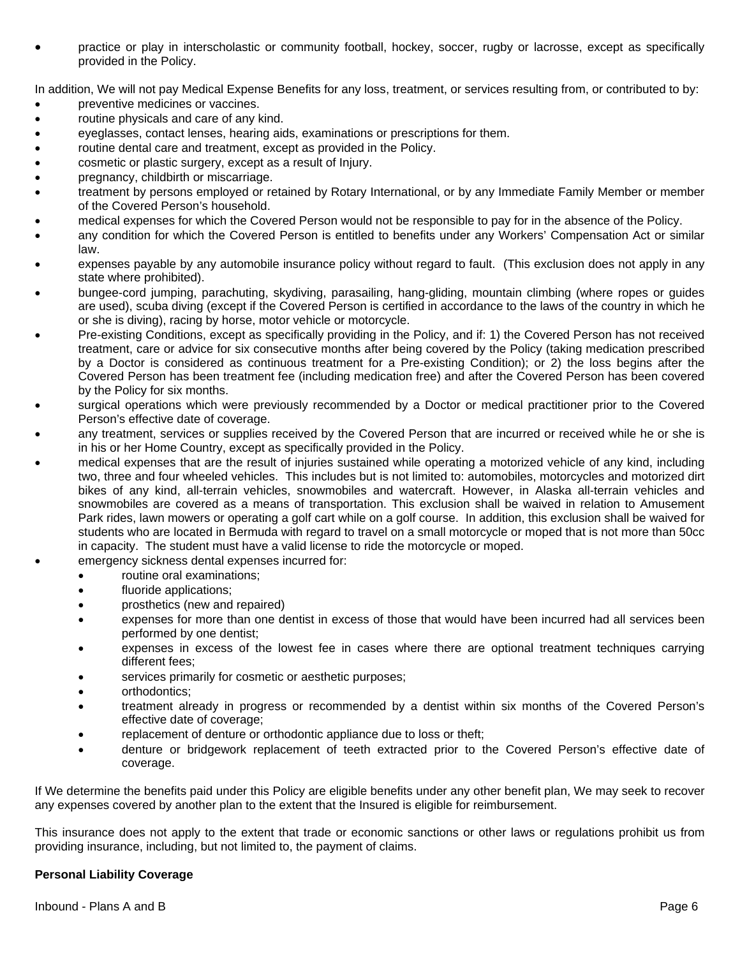practice or play in interscholastic or community football, hockey, soccer, rugby or lacrosse, except as specifically provided in the Policy.

In addition, We will not pay Medical Expense Benefits for any loss, treatment, or services resulting from, or contributed to by:

- preventive medicines or vaccines.
- routine physicals and care of any kind.
- eyeglasses, contact lenses, hearing aids, examinations or prescriptions for them.
- routine dental care and treatment, except as provided in the Policy.
- cosmetic or plastic surgery, except as a result of Injury.
- pregnancy, childbirth or miscarriage.
- treatment by persons employed or retained by Rotary International, or by any Immediate Family Member or member of the Covered Person's household.
- medical expenses for which the Covered Person would not be responsible to pay for in the absence of the Policy.
- any condition for which the Covered Person is entitled to benefits under any Workers' Compensation Act or similar law.
- expenses payable by any automobile insurance policy without regard to fault. (This exclusion does not apply in any state where prohibited).
- bungee-cord jumping, parachuting, skydiving, parasailing, hang-gliding, mountain climbing (where ropes or guides are used), scuba diving (except if the Covered Person is certified in accordance to the laws of the country in which he or she is diving), racing by horse, motor vehicle or motorcycle.
- Pre-existing Conditions, except as specifically providing in the Policy, and if: 1) the Covered Person has not received treatment, care or advice for six consecutive months after being covered by the Policy (taking medication prescribed by a Doctor is considered as continuous treatment for a Pre-existing Condition); or 2) the loss begins after the Covered Person has been treatment fee (including medication free) and after the Covered Person has been covered by the Policy for six months.
- surgical operations which were previously recommended by a Doctor or medical practitioner prior to the Covered Person's effective date of coverage.
- any treatment, services or supplies received by the Covered Person that are incurred or received while he or she is in his or her Home Country, except as specifically provided in the Policy.
- medical expenses that are the result of injuries sustained while operating a motorized vehicle of any kind, including two, three and four wheeled vehicles. This includes but is not limited to: automobiles, motorcycles and motorized dirt bikes of any kind, all-terrain vehicles, snowmobiles and watercraft. However, in Alaska all-terrain vehicles and snowmobiles are covered as a means of transportation. This exclusion shall be waived in relation to Amusement Park rides, lawn mowers or operating a golf cart while on a golf course. In addition, this exclusion shall be waived for students who are located in Bermuda with regard to travel on a small motorcycle or moped that is not more than 50cc in capacity. The student must have a valid license to ride the motorcycle or moped.
	- emergency sickness dental expenses incurred for:
		- routine oral examinations;
		- fluoride applications;
		- prosthetics (new and repaired)
		- expenses for more than one dentist in excess of those that would have been incurred had all services been performed by one dentist;
		- expenses in excess of the lowest fee in cases where there are optional treatment techniques carrying different fees;
		- services primarily for cosmetic or aesthetic purposes;
		- orthodontics;
		- treatment already in progress or recommended by a dentist within six months of the Covered Person's effective date of coverage;
		- replacement of denture or orthodontic appliance due to loss or theft;
		- denture or bridgework replacement of teeth extracted prior to the Covered Person's effective date of coverage.

If We determine the benefits paid under this Policy are eligible benefits under any other benefit plan, We may seek to recover any expenses covered by another plan to the extent that the Insured is eligible for reimbursement.

This insurance does not apply to the extent that trade or economic sanctions or other laws or regulations prohibit us from providing insurance, including, but not limited to, the payment of claims.

# **Personal Liability Coverage**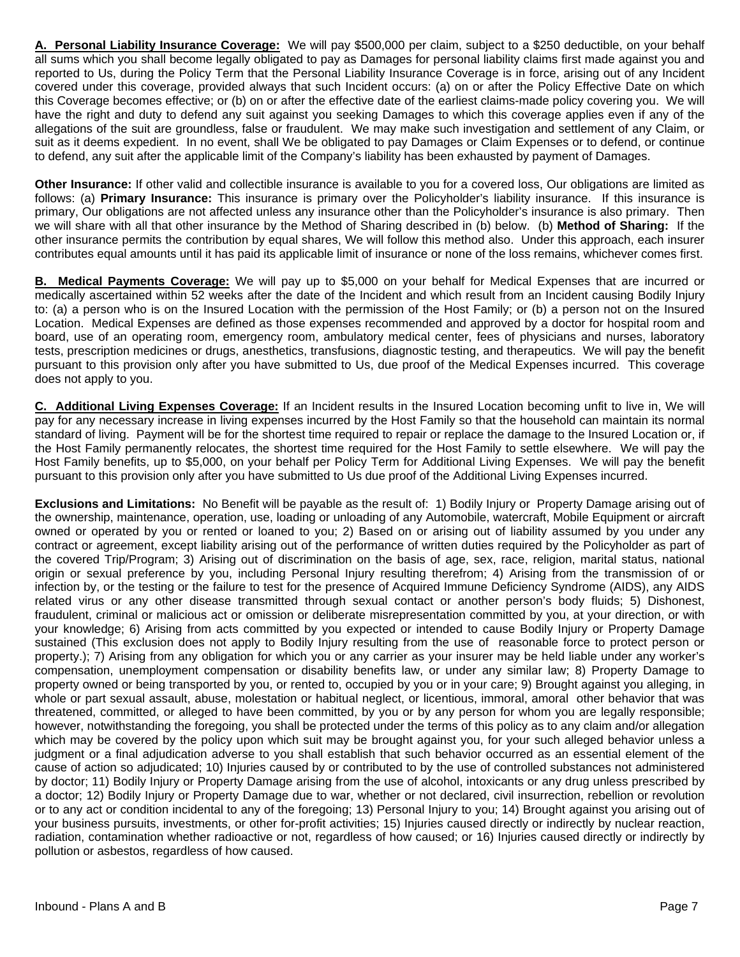**A. Personal Liability Insurance Coverage:** We will pay \$500,000 per claim, subject to a \$250 deductible, on your behalf all sums which you shall become legally obligated to pay as Damages for personal liability claims first made against you and reported to Us, during the Policy Term that the Personal Liability Insurance Coverage is in force, arising out of any Incident covered under this coverage, provided always that such Incident occurs: (a) on or after the Policy Effective Date on which this Coverage becomes effective; or (b) on or after the effective date of the earliest claims-made policy covering you. We will have the right and duty to defend any suit against you seeking Damages to which this coverage applies even if any of the allegations of the suit are groundless, false or fraudulent. We may make such investigation and settlement of any Claim, or suit as it deems expedient. In no event, shall We be obligated to pay Damages or Claim Expenses or to defend, or continue to defend, any suit after the applicable limit of the Company's liability has been exhausted by payment of Damages.

**Other Insurance:** If other valid and collectible insurance is available to you for a covered loss, Our obligations are limited as follows: (a) **Primary Insurance:** This insurance is primary over the Policyholder's liability insurance. If this insurance is primary, Our obligations are not affected unless any insurance other than the Policyholder's insurance is also primary. Then we will share with all that other insurance by the Method of Sharing described in (b) below. (b) **Method of Sharing:** If the other insurance permits the contribution by equal shares, We will follow this method also. Under this approach, each insurer contributes equal amounts until it has paid its applicable limit of insurance or none of the loss remains, whichever comes first.

**B. Medical Payments Coverage:** We will pay up to \$5,000 on your behalf for Medical Expenses that are incurred or medically ascertained within 52 weeks after the date of the Incident and which result from an Incident causing Bodily Injury to: (a) a person who is on the Insured Location with the permission of the Host Family; or (b) a person not on the Insured Location. Medical Expenses are defined as those expenses recommended and approved by a doctor for hospital room and board, use of an operating room, emergency room, ambulatory medical center, fees of physicians and nurses, laboratory tests, prescription medicines or drugs, anesthetics, transfusions, diagnostic testing, and therapeutics. We will pay the benefit pursuant to this provision only after you have submitted to Us, due proof of the Medical Expenses incurred. This coverage does not apply to you.

**C. Additional Living Expenses Coverage:** If an Incident results in the Insured Location becoming unfit to live in, We will pay for any necessary increase in living expenses incurred by the Host Family so that the household can maintain its normal standard of living. Payment will be for the shortest time required to repair or replace the damage to the Insured Location or, if the Host Family permanently relocates, the shortest time required for the Host Family to settle elsewhere. We will pay the Host Family benefits, up to \$5,000, on your behalf per Policy Term for Additional Living Expenses. We will pay the benefit pursuant to this provision only after you have submitted to Us due proof of the Additional Living Expenses incurred.

**Exclusions and Limitations:** No Benefit will be payable as the result of: 1) Bodily Injury or Property Damage arising out of the ownership, maintenance, operation, use, loading or unloading of any Automobile, watercraft, Mobile Equipment or aircraft owned or operated by you or rented or loaned to you; 2) Based on or arising out of liability assumed by you under any contract or agreement, except liability arising out of the performance of written duties required by the Policyholder as part of the covered Trip/Program; 3) Arising out of discrimination on the basis of age, sex, race, religion, marital status, national origin or sexual preference by you, including Personal Injury resulting therefrom; 4) Arising from the transmission of or infection by, or the testing or the failure to test for the presence of Acquired Immune Deficiency Syndrome (AIDS), any AIDS related virus or any other disease transmitted through sexual contact or another person's body fluids; 5) Dishonest, fraudulent, criminal or malicious act or omission or deliberate misrepresentation committed by you, at your direction, or with your knowledge; 6) Arising from acts committed by you expected or intended to cause Bodily Injury or Property Damage sustained (This exclusion does not apply to Bodily Injury resulting from the use of reasonable force to protect person or property.); 7) Arising from any obligation for which you or any carrier as your insurer may be held liable under any worker's compensation, unemployment compensation or disability benefits law, or under any similar law; 8) Property Damage to property owned or being transported by you, or rented to, occupied by you or in your care; 9) Brought against you alleging, in whole or part sexual assault, abuse, molestation or habitual neglect, or licentious, immoral, amoral other behavior that was threatened, committed, or alleged to have been committed, by you or by any person for whom you are legally responsible; however, notwithstanding the foregoing, you shall be protected under the terms of this policy as to any claim and/or allegation which may be covered by the policy upon which suit may be brought against you, for your such alleged behavior unless a judgment or a final adjudication adverse to you shall establish that such behavior occurred as an essential element of the cause of action so adjudicated; 10) Injuries caused by or contributed to by the use of controlled substances not administered by doctor; 11) Bodily Injury or Property Damage arising from the use of alcohol, intoxicants or any drug unless prescribed by a doctor; 12) Bodily Injury or Property Damage due to war, whether or not declared, civil insurrection, rebellion or revolution or to any act or condition incidental to any of the foregoing; 13) Personal Injury to you; 14) Brought against you arising out of your business pursuits, investments, or other for-profit activities; 15) Injuries caused directly or indirectly by nuclear reaction, radiation, contamination whether radioactive or not, regardless of how caused; or 16) Injuries caused directly or indirectly by pollution or asbestos, regardless of how caused.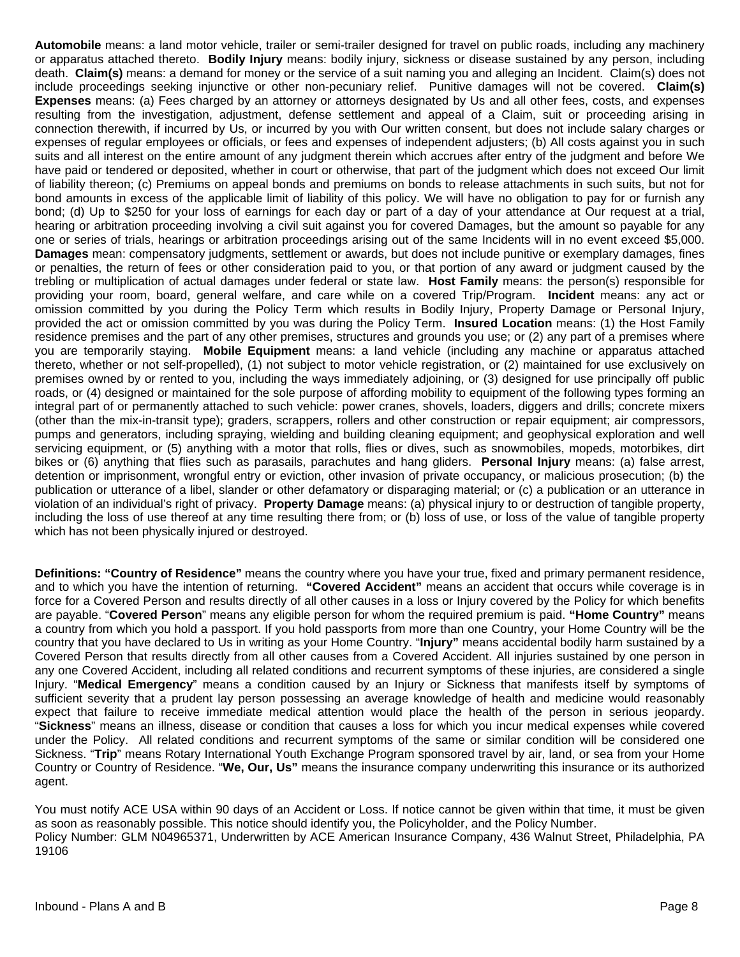**Automobile** means: a land motor vehicle, trailer or semi-trailer designed for travel on public roads, including any machinery or apparatus attached thereto. **Bodily Injury** means: bodily injury, sickness or disease sustained by any person, including death. **Claim(s)** means: a demand for money or the service of a suit naming you and alleging an Incident. Claim(s) does not include proceedings seeking injunctive or other non-pecuniary relief. Punitive damages will not be covered. **Claim(s) Expenses** means: (a) Fees charged by an attorney or attorneys designated by Us and all other fees, costs, and expenses resulting from the investigation, adjustment, defense settlement and appeal of a Claim, suit or proceeding arising in connection therewith, if incurred by Us, or incurred by you with Our written consent, but does not include salary charges or expenses of regular employees or officials, or fees and expenses of independent adjusters; (b) All costs against you in such suits and all interest on the entire amount of any judgment therein which accrues after entry of the judgment and before We have paid or tendered or deposited, whether in court or otherwise, that part of the judgment which does not exceed Our limit of liability thereon; (c) Premiums on appeal bonds and premiums on bonds to release attachments in such suits, but not for bond amounts in excess of the applicable limit of liability of this policy. We will have no obligation to pay for or furnish any bond; (d) Up to \$250 for your loss of earnings for each day or part of a day of your attendance at Our request at a trial, hearing or arbitration proceeding involving a civil suit against you for covered Damages, but the amount so payable for any one or series of trials, hearings or arbitration proceedings arising out of the same Incidents will in no event exceed \$5,000. **Damages** mean: compensatory judgments, settlement or awards, but does not include punitive or exemplary damages, fines or penalties, the return of fees or other consideration paid to you, or that portion of any award or judgment caused by the trebling or multiplication of actual damages under federal or state law. **Host Family** means: the person(s) responsible for providing your room, board, general welfare, and care while on a covered Trip/Program. **Incident** means: any act or omission committed by you during the Policy Term which results in Bodily Injury, Property Damage or Personal Injury, provided the act or omission committed by you was during the Policy Term. **Insured Location** means: (1) the Host Family residence premises and the part of any other premises, structures and grounds you use; or (2) any part of a premises where you are temporarily staying. **Mobile Equipment** means: a land vehicle (including any machine or apparatus attached thereto, whether or not self-propelled), (1) not subject to motor vehicle registration, or (2) maintained for use exclusively on premises owned by or rented to you, including the ways immediately adjoining, or (3) designed for use principally off public roads, or (4) designed or maintained for the sole purpose of affording mobility to equipment of the following types forming an integral part of or permanently attached to such vehicle: power cranes, shovels, loaders, diggers and drills; concrete mixers (other than the mix-in-transit type); graders, scrappers, rollers and other construction or repair equipment; air compressors, pumps and generators, including spraying, wielding and building cleaning equipment; and geophysical exploration and well servicing equipment, or (5) anything with a motor that rolls, flies or dives, such as snowmobiles, mopeds, motorbikes, dirt bikes or (6) anything that flies such as parasails, parachutes and hang gliders. **Personal Injury** means: (a) false arrest, detention or imprisonment, wrongful entry or eviction, other invasion of private occupancy, or malicious prosecution; (b) the publication or utterance of a libel, slander or other defamatory or disparaging material; or (c) a publication or an utterance in violation of an individual's right of privacy. **Property Damage** means: (a) physical injury to or destruction of tangible property, including the loss of use thereof at any time resulting there from; or (b) loss of use, or loss of the value of tangible property which has not been physically injured or destroyed.

**Definitions: "Country of Residence"** means the country where you have your true, fixed and primary permanent residence, and to which you have the intention of returning. **"Covered Accident"** means an accident that occurs while coverage is in force for a Covered Person and results directly of all other causes in a loss or Injury covered by the Policy for which benefits are payable. "**Covered Person**" means any eligible person for whom the required premium is paid. **"Home Country"** means a country from which you hold a passport. If you hold passports from more than one Country, your Home Country will be the country that you have declared to Us in writing as your Home Country. "**Injury"** means accidental bodily harm sustained by a Covered Person that results directly from all other causes from a Covered Accident. All injuries sustained by one person in any one Covered Accident, including all related conditions and recurrent symptoms of these injuries, are considered a single Injury. "**Medical Emergency**" means a condition caused by an Injury or Sickness that manifests itself by symptoms of sufficient severity that a prudent lay person possessing an average knowledge of health and medicine would reasonably expect that failure to receive immediate medical attention would place the health of the person in serious jeopardy. "**Sickness**" means an illness, disease or condition that causes a loss for which you incur medical expenses while covered under the Policy. All related conditions and recurrent symptoms of the same or similar condition will be considered one Sickness. "**Trip**" means Rotary International Youth Exchange Program sponsored travel by air, land, or sea from your Home Country or Country of Residence. "**We, Our, Us"** means the insurance company underwriting this insurance or its authorized agent.

You must notify ACE USA within 90 days of an Accident or Loss. If notice cannot be given within that time, it must be given as soon as reasonably possible. This notice should identify you, the Policyholder, and the Policy Number. Policy Number: GLM N04965371, Underwritten by ACE American Insurance Company, 436 Walnut Street, Philadelphia, PA 19106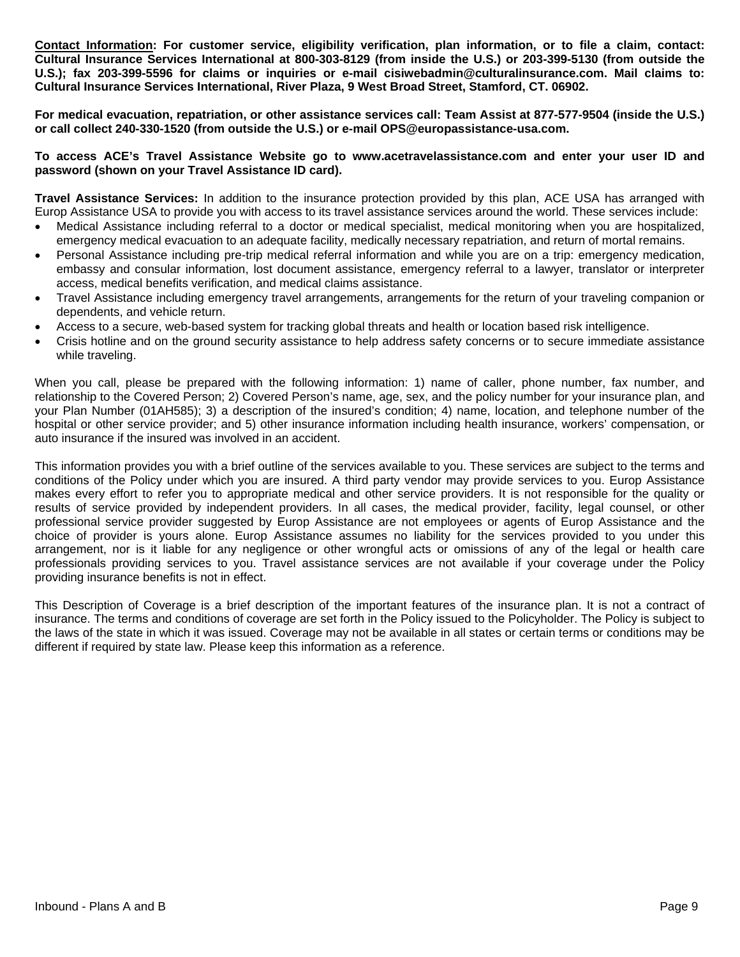**Contact Information: For customer service, eligibility verification, plan information, or to file a claim, contact: Cultural Insurance Services International at 800-303-8129 (from inside the U.S.) or 203-399-5130 (from outside the U.S.); fax 203-399-5596 for claims or inquiries or e-mail cisiwebadmin@culturalinsurance.com. Mail claims to: Cultural Insurance Services International, River Plaza, 9 West Broad Street, Stamford, CT. 06902.** 

**For medical evacuation, repatriation, or other assistance services call: Team Assist at 877-577-9504 (inside the U.S.) or call collect 240-330-1520 (from outside the U.S.) or e-mail OPS@europassistance-usa.com.** 

**To access ACE's Travel Assistance Website go to www.acetravelassistance.com and enter your user ID and password (shown on your Travel Assistance ID card).** 

**Travel Assistance Services:** In addition to the insurance protection provided by this plan, ACE USA has arranged with Europ Assistance USA to provide you with access to its travel assistance services around the world. These services include:

- Medical Assistance including referral to a doctor or medical specialist, medical monitoring when you are hospitalized, emergency medical evacuation to an adequate facility, medically necessary repatriation, and return of mortal remains.
- Personal Assistance including pre-trip medical referral information and while you are on a trip: emergency medication, embassy and consular information, lost document assistance, emergency referral to a lawyer, translator or interpreter access, medical benefits verification, and medical claims assistance.
- Travel Assistance including emergency travel arrangements, arrangements for the return of your traveling companion or dependents, and vehicle return.
- Access to a secure, web-based system for tracking global threats and health or location based risk intelligence.
- Crisis hotline and on the ground security assistance to help address safety concerns or to secure immediate assistance while traveling.

When you call, please be prepared with the following information: 1) name of caller, phone number, fax number, and relationship to the Covered Person; 2) Covered Person's name, age, sex, and the policy number for your insurance plan, and your Plan Number (01AH585); 3) a description of the insured's condition; 4) name, location, and telephone number of the hospital or other service provider; and 5) other insurance information including health insurance, workers' compensation, or auto insurance if the insured was involved in an accident.

This information provides you with a brief outline of the services available to you. These services are subject to the terms and conditions of the Policy under which you are insured. A third party vendor may provide services to you. Europ Assistance makes every effort to refer you to appropriate medical and other service providers. It is not responsible for the quality or results of service provided by independent providers. In all cases, the medical provider, facility, legal counsel, or other professional service provider suggested by Europ Assistance are not employees or agents of Europ Assistance and the choice of provider is yours alone. Europ Assistance assumes no liability for the services provided to you under this arrangement, nor is it liable for any negligence or other wrongful acts or omissions of any of the legal or health care professionals providing services to you. Travel assistance services are not available if your coverage under the Policy providing insurance benefits is not in effect.

This Description of Coverage is a brief description of the important features of the insurance plan. It is not a contract of insurance. The terms and conditions of coverage are set forth in the Policy issued to the Policyholder. The Policy is subject to the laws of the state in which it was issued. Coverage may not be available in all states or certain terms or conditions may be different if required by state law. Please keep this information as a reference.